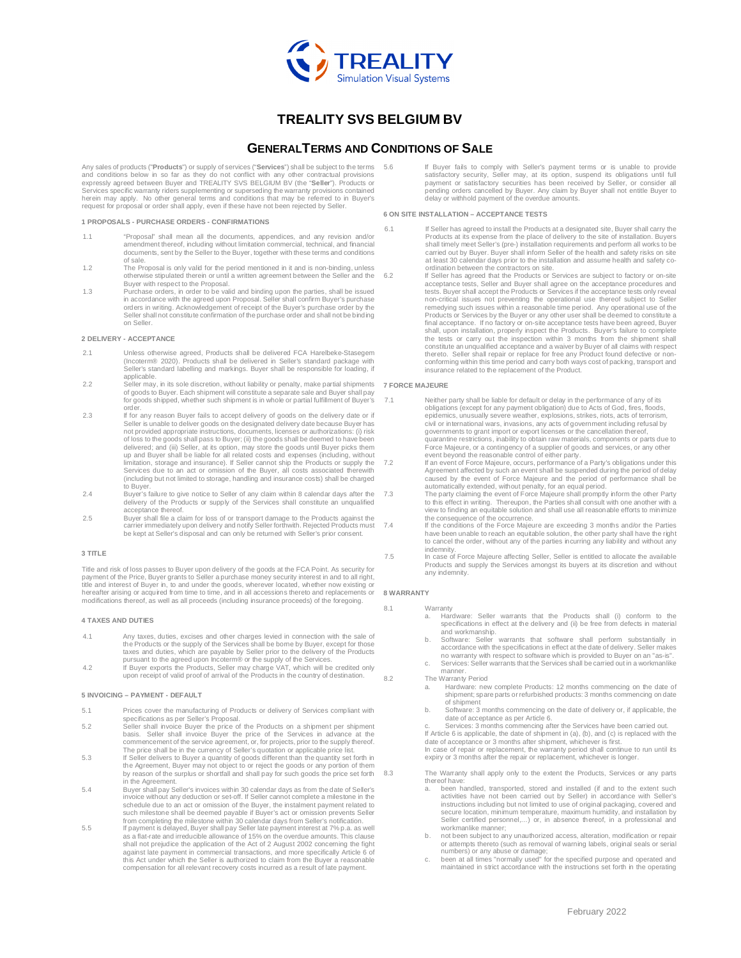

# **TREALITY SVS BELGIUM BV**

## **GENERALTERMS AND CONDITIONS OF SALE**

Any sales of products ("**Products**") or supply of services ("**Services**") shall be subject to the terms and conditions below in so far as they do not conflict with any other contractual provisions expressly agreed between Buyer and TREALITY SVS BELGIUM BV (the "**Seller**"). Products or Services specific warranty riders supplementing or superseding the warranty provisions contained herein may apply. No other general terms and conditions that may be referred to in Buyer's request for proposal or order shall apply, even if these have not been rejected by Seller.

**1 PROPOSALS - PURCHASE ORDERS - CONFIRMATIONS**

- 1.1 "Proposal" shall mean all the documents, appendices, and any revision and/or amendment thereof, including without limitation commercial, technical, and financial documents, sent by the Seller to the Buyer, together with these terms and conditions of sale.
- 1.2 The Proposal is only valid for the period mentioned in it and is non-binding, unless otherwise stipulated therein or until a written agreement between the Seller and the
- Buyer with respect to the Proposal. 1.3 Purchase orders, in order to be valid and binding upon the parties, shall be issued in accordance with the agreed upon Proposal. Seller shall confirm Buyer's purchase orders in writing. Acknowledgement of receipt of the Buyer's purchase order by the Seller shall not constitute confirmation of the purchase order and shall not be binding on Seller.

#### **2 DELIVERY - ACCEPTANCE**

- 2.1 Unless otherwise agreed, Products shall be delivered FCA Harelbeke-Stasegem (Incoterm® 2020). Products shall be delivered in Seller's standard package with Seller's standard labelling and markings. Buyer shall be responsible for loading, if applicable.
- 2.2 Seller may, in its sole discretion, without liability or penalty, make partial shipments **7 FORCE MAJEURE**  of goods to Buyer. Each shipment will constitute a separate sale and Buyer shall pay for goods shipped, whether such shipment is in whole or partial fulfillment of Buyer's order.
- 2.3 If for any reason Buyer fails to accept delivery of goods on the delivery date or if Seller is unable to deliver goods on the designated delivery date because Buyer has not provided appropriate instructions, documents, licenses or authorizations: (i) risk of loss to the goods shall pass to Buyer; (ii) the goods shall be deemed to have been delivered; and (iii) Seller, at its option, may store the goods until Buyer picks them up and Buyer shall be liable for all related costs and expenses (including, without limitation, storage and insurance). If Seller cannot ship the Products or supply the Services due to an act or omission of the Buyer, all costs associated therewith (including but not limited to storage, handling and insurance costs) shall be charged to Buyer.
- 2.4 Buyer's failure to give notice to Seller of any claim within 8 calendar days after the delivery of the Products or supply of the Services shall constitute an unqualified acceptance thereof.
- 2.5 Buyer shall file a claim for loss of or transport damage to the Products against the carrier immediately upon delivery and notify Seller forthwith. Rejected Products must be kept at Seller's disposal and can only be returned with Seller's prior consent.

#### **3 TITLE**

Title and risk of loss passes to Buyer upon delivery of the goods at the FCA Point. As security for payment of the Price, Buyer grants to Seller a purchase money security interest in and to all right, title and interest of Buyer in, to and under the goods, wherever located, whether now existing or hereafter arising or acquired from time to time, and in all accessions thereto and replacements or modifications thereof, as well as all proceeds (including insurance proceeds) of the foregoing.

#### **4 TAXES AND DUTIES**

- 4.1 Any taxes, duties, excises and other charges levied in connection with the sale of the Products or the supply of the Services shall be borne by Buyer, except for those taxes and duties, which are payable by Seller prior to the delivery of the Products
- pursuant to the agreed upon Incoterm® or the supply of the Services.<br>If Buyer exports the Products, Seller may charge VAT, which will be credited only<br>upon receipt of valid proof of arrival of the Products in the country

#### **5 INVOICING – PAYMENT - DEFAULT**

- 5.1 Prices cover the manufacturing of Products or delivery of Services compliant with specifications as per Seller's Proposal.
- 5.2 Seller shall invoice Buyer the price of the Products on a shipment per shipment basis. Seller shall invoice Buyer the price of the Services in advance at the commencement of the service agreement, or, for projects, prior to the supply thereof. The price shall be in the currency of Seller's quotation or applicable price list.
- 5.3 If Seller delivers to Buyer a quantity of goods different than the quantity set forth in the Agreement, Buyer may not object to or reject the goods or any portion of them by reason of the surplus or shortfall and shall pay for such goods the price set forth in the Agreement.
- 5.4 Buyer shall pay Seller's invoices within 30 calendar days as from the date of Seller's invoice without any deduction or set-off. If Seller cannot complete a milestone in the schedule due to an act or omission of the Buyer, the instalment payment related to such milestone shall be deemed payable if Buyer's act or omission prevents Seller from completing the milestone within 30 calendar days from Seller's notification.
- lf payment is delayed, Buyer shall pay Seller late payment interest at 7% p.a. as well<br>as a flat-rate and irreducible allowance of 15% on the overdue amounts. This clause<br>shall not prejudice the application of the Act of 2 against late payment in commercial transactions, and more specifically Article 6 of this Act under which the Seller is authorized to claim from the Buyer a reasonable compensation for all relevant recovery costs incurred as a result of late payment.

If Buyer fails to comply with Seller's payment terms or is unable to provide satisfactory security, Seller may, at its option, suspend its obligations until full payment or satisfactory securities has been received by Seller, or consider all pending orders cancelled by Buyer. Any claim by Buyer shall not entitle Buyer to delay or withhold payment of the overdue amounts.

#### **6 ON SITE INSTALLATION – ACCEPTANCE TESTS**

- 6.1 If Seller has agreed to install the Products at a designated site, Buyer shall carry the Products at its expense from the place of delivery to the site of installation. Buyers shall timely meet Seller's (pre-) installation requirements and perform all works to be carried out by Buyer. Buyer shall inform Seller of the health and safety risks on site at least 30 calendar days prior to the installation and assume health and safety co-<br>ordination between the contractors on site.<br>6.2 If Seller has agreed that the Products or Services are subject to factory or on-site
	- acceptance tests, Seller and Buyer shall agree on the acceptance procedures and tests. Buyer shall accept the Products or Services if the acceptance tests only reveal non-critical issues not preventing the operational use thereof subject to Seller remedying such issues within a reasonable time period. Any operational use of the Products or Services by the Buyer or any other user shall be deemed to constitute a final acceptance. If no factory or on-site acceptance tests have been agreed, Buyer shall, upon installation, properly inspect the Products. Buyer's failure to complete the tests or carry out the inspection within 3 months from the shipment shall constitute an unqualified acceptance and a waiver by Buyer of all claims with respect thereto. Seller shall repair or replace for free any Product found defective or nonconforming within this time period and carry both ways cost of packing, transport and insurance related to the replacement of the Product.

- 7.1 Neither party shall be liable for default or delay in the performance of any of its obligations (except for any payment obligation) due to Acts of God, fires, floods, epidemics, unusually severe weather, explosions, strikes, riots, acts of terrorism, civil or international wars, invasions, any acts of government including refusal by governments to grant import or export licenses or the cancellation thereof, quarantine restrictions, inability to obtain raw materials, components or parts due to Force Majeure, or a contingency of a supplier of goods and services, or any other
- event beyond the reasonable control of either party. 7.2 If an event of Force Majeure, occurs, performance of a Party's obligations under this
- Agreement affected by such an event shall be suspended during the period of delay<br>caused by the event of Force Majeure and the period of performance shall be<br>automatically extended, without penalty, for an equal period.<br>T. view to finding an equitable solution and shall use all reasonable efforts to minimize the consequence of the occurrence.
- 7.4 If the conditions of the Force Majeure are exceeding 3 months and/or the Parties have been unable to reach an equitable solution, the other party shall have the right to cancel the order, without any of the parties incurring any liability and without any indemnity.
- 7.5 In case of Force Majeure affecting Seller, Seller is entitled to allocate the available Products and supply the Services amongst its buyers at its discretion and without any indemnity.

#### **8 WARRANTY**

- 8.1 Warranty
	- a. Hardware: Seller warrants that the Products shall (i) conform to the specifications in effect at the delivery and (ii) be free from defects in material and workmanship.
	- b. Software: Seller warrants that software shall perform substantially in accordance with the specifications in effect at the date of delivery. Seller makes no warranty with respect to software which is provided to Buyer on an "as-is".
	- Services: Seller warrants that the Services shall be carried out in a workmanlike manner.
- 8.2 The Warranty Period
	- a. Hardware: new complete Products: 12 months commencing on the date of shipment; spare parts or refurbished products: 3 months commencing on date of shipment
	- b. Software: 3 months commencing on the date of delivery or, if applicable, the date of acceptance as per Article 6.
	- c. Services: 3 months commencing after the Services have been carried out.<br>If Article 6 is applicable, the date of shipment in (a), (b), and (c) is replaced with the<br>date of acceptance or 3 months after shipment, whichever

In case of repair or replacement, the warranty period shall continue to run until its expiry or 3 months after the repair or replacement, whichever is longer.

- 8.3 The Warranty shall apply only to the extent the Products, Services or any parts thereof have:
	- been handled, transported, stored and installed (if and to the extent such activities have not been carried out by Seller) in accordance with Seller's instructions including but not limited to use of original packaging, covered and secure location, minimum temperature, maximum humidity, and installation by Seller certified personnel,...) or, in absence thereof, in a professional and workmanlike manner;
	- b. not been subject to any unauthorized access, alteration, modification or repair or attempts thereto (such as removal of warning labels, original seals or serial
	- numbers) or any abuse or damage; c. been at all times "normally used" for the specified purpose and operated and maintained in strict accordance with the instructions set forth in the operating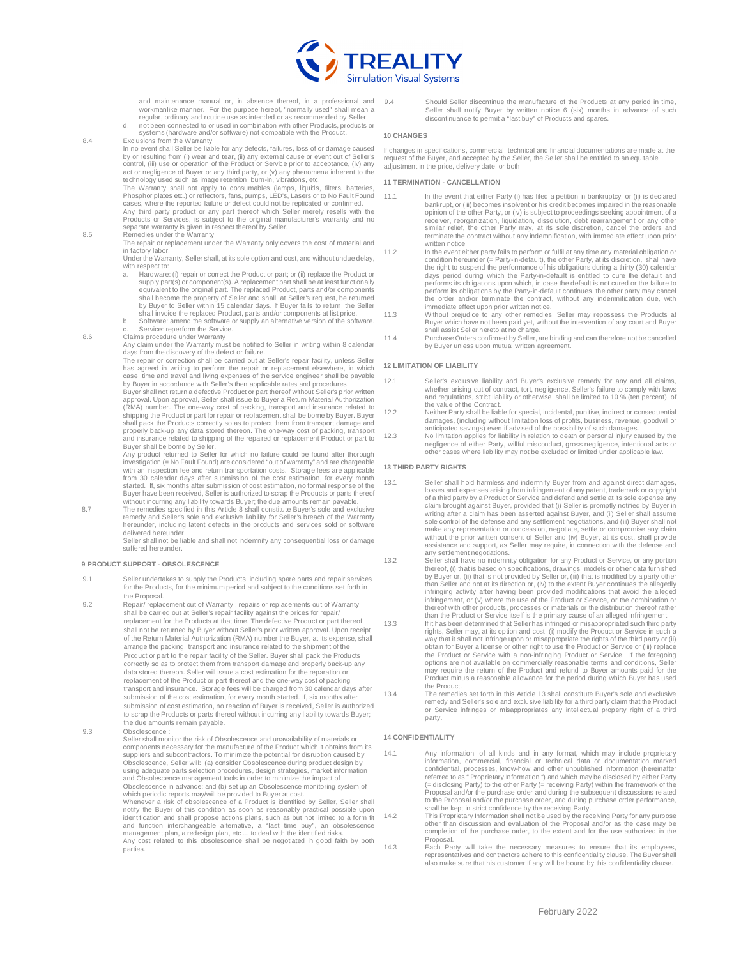

and maintenance manual or, in absence thereof, in a professional and workmanlike manner. For the purpose hereof, "normally used" shall mean a regular, ordinary and routine use as intended or as recommended by Seller;

d. not been connected to or used in combination with other Products, products or systems (hardware and/or software) not compatible with the Product.

8.4 Exclusions from the Warranty

In no event shall Seller be liable for any defects, failures, loss of or damage caused<br>by or resulting from (i) wear and tear, (ii) any external cause or event out of Seller's<br>control, (iii) use or operation of the Product act or negligence of Buyer or any third party, or (v) any phenomena inherent to the

technology used such as image retention, burn-in, vibrations, etc.<br>The Warranty shall not apply to consumables (lamps, liquids, filters, batteries,<br>Phosphorplates etc.) or reflectors, fans,pumps, LED's, Lasers or to No Fau

cases, where the reported failure or defect could not be replicated or confirmed.<br>Any third party product or any part thereof which Seller merely resells with the<br>Products or Services, is subject to the original manufactur

The repair or replacement under the Warranty only covers the cost of material and in factory labor.

- Under the Warranty, Seller shall, at its sole option and cost, and without undue delay, with respect to:<br>a. Hardware:
- Hardware: (i) repair or correct the Product or part; or (ii) replace the Product or supply part(s) or component(s). A replacement part shall be at least functionally<br>equivalent to the original part. The replaced Product, parts and/or components<br>shall become the property of Seller and shall, at Seller's re by Buyer to Seller within 15 calendar days. If Buyer fails to return, the Seller shall invoice the replaced Product, parts and/or components at list price.
- b. Software: amend the software or supply an alternative version of the software. Service: reperform the Service.
- 8.6 Claims procedure under Warranty

Any claim under the Warranty must be notified to Seller in writing within 8 calendar days from the discovery of the defect or failure.

The repair or correction shall be carried out at Seller's repair facility, unless Seller has agreed in writing to perform the repair or replacement elsewhere, in which case time and travel and living expenses of the service engineer shall be payable by Buyer in accordance with Seller's then applicable rates and procedures.

Buyer shall not return a defective Product or part thereof without Seller's prior written approval. Upon approval, Seller shall issue to Buyer a Return Material Authorization (RMA) number. The one-way cost of packing, transport and insurance related to shipping the Product or part for repair or replacement shall be borne by Buyer. Buyer shall pack the Products correctly so as to protect them from transport damage and properly back-up any data stored thereon. The one-way cost of packing, transport and insurance related to shipping of the repaired or replacement Product or part to Buyer shall be borne by Seller.

Any product returned to Seller for which no failure could be found after thorough investigation (= No Fault Found) are considered "out of warranty" and are chargeable with an inspection fee and return transportation costs. Storage fees are applicable from 30 calendar days after submission of the cost estimation, for every month started. If, six months after submission of cost estimation, no formal response of the Buyer have been received, Seller is authorized to scrap the Products or parts thereof<br>without incurring any liability towards Buyer; the due amounts remain payable.<br>8.7 The remedies specified in this Article 8 sh

remedy and Seller's sole and exclusive liability for Seller's breach of the Warranty hereunder, including latent defects in the products and services sold or software delivered hereunder

Seller shall not be liable and shall not indemnify any consequential loss or damage suffered hereunder

#### **9 PRODUCT SUPPORT - OBSOLESCENCE**

- 9.1 Seller undertakes to supply the Products, including spare parts and repair services for the Products, for the minimum period and subject to the conditions set forth in the Proposal.
- 9.2 Repair/ replacement out of Warranty : repairs or replacements out of Warranty shall be carried out at Seller's repair facility against the prices for repair/ replacement for the Products at that time. The defective Product or part thereof shall not be returned by Buyer without Seller's prior written approval. Upon receipt of the Return Material Authorization (RMA) number the Buyer, at its expense, shall arrange the packing, transport and insurance related to the shipment of the Product or part to the repair facility of the Seller. Buyer shall pack the Products correctly so as to protect them from transport damage and properly back-up any data stored thereon. Seller will issue a cost estimation for the reparation or replacement of the Product or part thereof and the one-way cost of packing, transport and insurance. Storage fees will be charged from 30 calendar days after submission of the cost estimation, for every month started. If, six months after submission of cost estimation, no reaction of Buyer is received, Seller is authorized to scrap the Products or parts thereof without incurring any liability towards Buyer; the due amounts remain payable. 9.3 Obsolescence :
- 

Seller shall monitor the risk of Obsolescence and unavailability of materials or components necessary for the manufacture of the Product which it obtains from its suppliers and subcontractors. To minimize the potential for disruption caused by Obsolescence, Seller will: (a) consider Obsolescence during product design by using adequate parts selection procedures, design strategies, market information and Obsolescence management tools in order to minimize the impact of Obsolescence in advance; and (b) set up an Obsolescence monitoring system of which periodic reports may/will be provided to Buyer at cost. Whenever a risk of obsolescence of a Product is identified by Seller, Seller shall notify the Buyer of this condition as soon as reasonably practical possible upon identification and shall propose actions plans, such as but not limited to a form fit and function interchangeable alternative, a "last time buy", an obsolescence management plan, a redesign plan, etc ... to deal with the identified risks. Any cost related to this obsolescence shall be negotiated in good faith by both parties.

Should Seller discontinue the manufacture of the Products at any period in time Seller shall notify Buyer by written notice 6 (six) months in advance of such discontinuance to permit a "last buy" of Products and spares.

#### **10 CHANGES**

If changes in specifications, commercial, technical and financial documentations are made at the request of the Buyer, and accepted by the Seller, the Seller shall be entitled to an equitable adjustment in the price, delivery date, or both

#### **11 TERMINATION - CANCELLATION**

- 11.1 In the event that either Party (i) has filed a petition in bankruptcy, or (ii) is declared bankrupt, or (iii) becomes insolvent or his credit becomes impaired in the reasonable opinion of the other Party, or (iv) is subject to proceedings seeking appointment of a<br>receiver, reorganization, liquidation, dissolution, debt rearrangement or any other<br>similar relief, the other Party may, at its sole di terminate the contract without any indemnification, with immediate effect upon prior written notice
- 11.2 In the event either party fails to perform or fulfil at any time any material obligation or condition hereunder (= Party-in-default), the other Party, at its discretion, shall have the right to supend the performance performs its obligations upon which, in case the default is not cured or the failure to perform its obligations by the Party-in-default continues, the other party may cancel the order and/or terminate the contract, without any indemnification due, with immediate effect upon prior written notice.
- 11.3 Without prejudice to any other remedies, Seller may repossess the Products at Buyer which have not been paid yet, without the intervention of any court and Buyer shall assist Seller hereto at no charge.
- 11.4 Purchase Orders confirmed by Seller, are binding and can therefore not be cancelled by Buyer unless upon mutual written agreement

#### **12 LIMITATION OF LIABILITY**

- 12.1 Seller's exclusive liability and Buyer's exclusive remedy for any and all claims, whether arising out of contract, tort, negligence, Seller's failure to comply with laws and regulations, strict liability or otherwise, shall be limited to 10 % (ten percent) of the value of the Contract.
- 12.2 Neither Party shall be liable for special, incidental, punitive, indirect or consequential damages, (including without limitation loss of profits, business, revenue, goodwill or anticipated savings) even if advised of the possibility of such damages.
- 12.3 No limitation applies for liability in relation to death or personal injury caused by the negligence of either Party, willful misconduct, gross negligence, intentional acts or other cases where liability may not be excluded or limited under applicable law.

#### **13 THIRD PARTY RIGHTS**

- 13.1 Seller shall hold harmless and indemnify Buyer from and against direct damages, losses and expenses arising from infringement of any patent, trademark or copyright<br>of a third party by a Product or Service and defend and settle at its sole expense any<br>claim brought against Buyer, provided that (i) Sell writing after a claim has been asserted against Buyer, and (ii) Seller shall assume sole control of the defense and any settlement negotiations, and (iii) Buyer shall not<br>make any representation or concession, negotiate, settle or compromise any claim<br>without the prior written consent of Seller and (iv) B assistance and support, as Seller may require, in connection with the defense and any settlement negotiations.
- 13.2 Seller shall have no indemnity obligation for any Product or Service, or any portion thereof, (i) that is based on specifications, drawings, models or other data furnished by Buyer or, (ii) that is not provided by Seller or, (iii) that is modified by a party other<br>than Seller and not at its direction or, (iv) to the extent Buyer continues the allegedly<br>infringing activity after having been p infringement, or (v) where the use of the Product or Service, or the combination or thereof with other products, processes or materials or the distribution thereof rather<br>than the Product or Service itself is the primary cause of an alleged infringement.<br>If it has been determined that Seller has infringed
- rights, Seller may, at its option and cost, (i) modify the Product or Service in such a way that it shall not infringe upon or misappropriate the rights of the third party or (ii) obtain for Buyer a license or other right to use the Product or Service or (iii) replace the Product or Service with a non-infringing Product or Service. If the foregoing options are not available on commercially reasonable terms and conditions, Seller<br>may require the return of the Product and refund to Buyer amounts paid for the<br>Product minus a reasonable allowance for the period during wh the Product.
- 13.4 The remedies set forth in this Article 13 shall constitute Buyer's sole and exclusive remedy and Seller's sole and exclusive liability for a third party claim that the Product or Service infringes or misappropriates any intellectual property right of a third party.

#### **14 CONFIDENTIALITY**

Any information, of all kinds and in any format, which may include proprietary information, commercial, financial or technical data or documentation marked<br>confidential, processes, know-how and other unpublished information (hereinafter<br>referredtoas "Proprietary Information") and which may be disclos (= disclosing Party) to the other Party (= receiving Party) within the framework of the Proposal and/or the purchase order and during the subsequent discussions related to the Proposal and/or the purchase order, and during purchase order performance, shall be kept in strict confidence by the receiving Party.

14.2 This Proprietary Information shall not be used by the receiving Party for any purpose other than discussion and evaluation of the Proposal and/or as the case may be completion of the purchase order, to the extent and for the use authorized in the Proposal.

14.3 Each Party will take the necessary measures to ensure that its employees, representatives and contractors adhere to this confidentiality clause. The Buyer shall also make sure that his customer if any will be bound by this confidentiality clause.